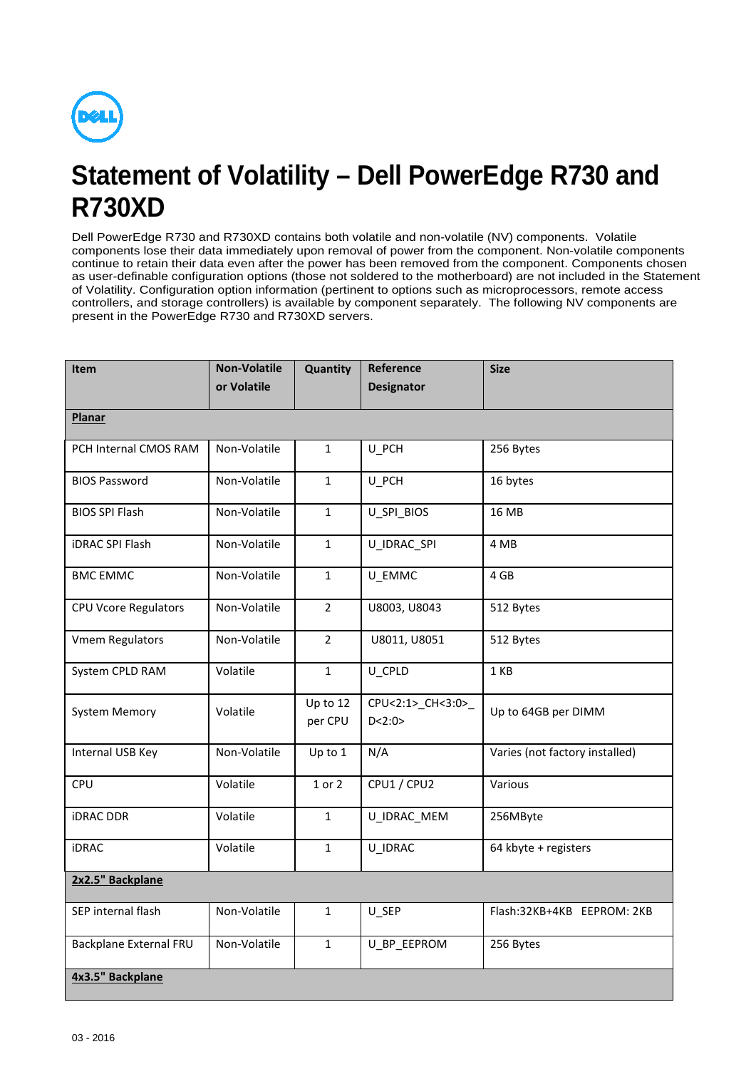

## **Statement of Volatility – Dell PowerEdge R730 and R730XD**

Dell PowerEdge R730 and R730XD contains both volatile and non-volatile (NV) components. Volatile components lose their data immediately upon removal of power from the component. Non-volatile components continue to retain their data even after the power has been removed from the component. Components chosen as user-definable configuration options (those not soldered to the motherboard) are not included in the Statement of Volatility. Configuration option information (pertinent to options such as microprocessors, remote access controllers, and storage controllers) is available by component separately. The following NV components are present in the PowerEdge R730 and R730XD servers.

| <b>Item</b>                 | <b>Non-Volatile</b> | Quantity            | Reference                     | <b>Size</b>                    |
|-----------------------------|---------------------|---------------------|-------------------------------|--------------------------------|
|                             | or Volatile         |                     | <b>Designator</b>             |                                |
| <b>Planar</b>               |                     |                     |                               |                                |
| PCH Internal CMOS RAM       | Non-Volatile        | $\mathbf{1}$        | U_PCH                         | 256 Bytes                      |
| <b>BIOS Password</b>        | Non-Volatile        | $\mathbf{1}$        | U_PCH                         | 16 bytes                       |
| <b>BIOS SPI Flash</b>       | Non-Volatile        | $\mathbf{1}$        | U_SPI_BIOS                    | 16 MB                          |
| <b>iDRAC SPI Flash</b>      | Non-Volatile        | $\mathbf{1}$        | U IDRAC SPI                   | 4 MB                           |
| <b>BMC EMMC</b>             | Non-Volatile        | $\mathbf{1}$        | U EMMC                        | 4 GB                           |
| <b>CPU Vcore Regulators</b> | Non-Volatile        | $\overline{2}$      | U8003, U8043                  | 512 Bytes                      |
| <b>Vmem Regulators</b>      | Non-Volatile        | $\overline{2}$      | U8011, U8051                  | 512 Bytes                      |
| System CPLD RAM             | Volatile            | $\mathbf{1}$        | U_CPLD                        | 1 KB                           |
| <b>System Memory</b>        | Volatile            | Up to 12<br>per CPU | CPU<2:1>_CH<3:0>_<br>D < 2:0> | Up to 64GB per DIMM            |
| Internal USB Key            | Non-Volatile        | Up to 1             | N/A                           | Varies (not factory installed) |
| CPU                         | Volatile            | 1 or 2              | CPU1 / CPU2                   | Various                        |
| <b>iDRAC DDR</b>            | Volatile            | $\mathbf{1}$        | U_IDRAC_MEM                   | 256MByte                       |
| <b>iDRAC</b>                | Volatile            | $\mathbf{1}$        | U_IDRAC                       | 64 kbyte + registers           |
| 2x2.5" Backplane            |                     |                     |                               |                                |
| SEP internal flash          | Non-Volatile        | $\mathbf{1}$        | U_SEP                         | Flash:32KB+4KB EEPROM: 2KB     |
| Backplane External FRU      | Non-Volatile        | $\mathbf{1}$        | U_BP_EEPROM                   | 256 Bytes                      |
| 4x3.5" Backplane            |                     |                     |                               |                                |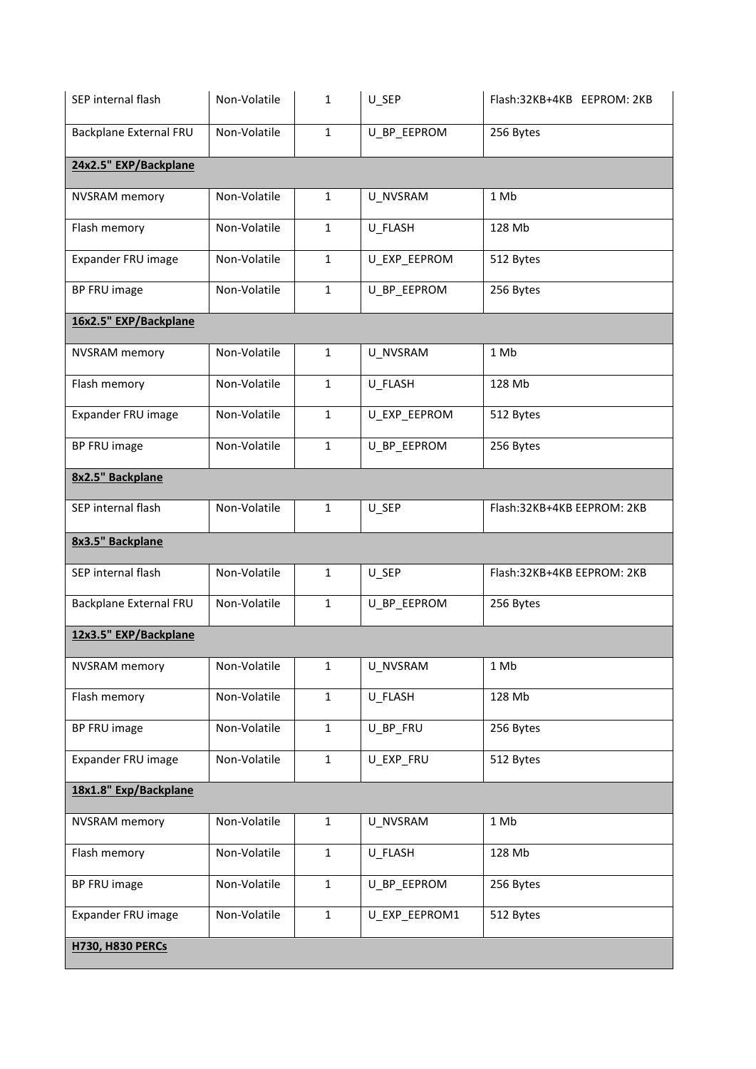| SEP internal flash      | Non-Volatile | $\mathbf{1}$ | U_SEP         | Flash:32KB+4KB EEPROM: 2KB |
|-------------------------|--------------|--------------|---------------|----------------------------|
| Backplane External FRU  | Non-Volatile | 1            | U_BP_EEPROM   | 256 Bytes                  |
| 24x2.5" EXP/Backplane   |              |              |               |                            |
| <b>NVSRAM</b> memory    | Non-Volatile | $\mathbf{1}$ | U_NVSRAM      | 1 Mb                       |
| Flash memory            | Non-Volatile | $\mathbf{1}$ | U_FLASH       | 128 Mb                     |
| Expander FRU image      | Non-Volatile | $\mathbf{1}$ | U_EXP_EEPROM  | 512 Bytes                  |
| BP FRU image            | Non-Volatile | $\mathbf{1}$ | U_BP_EEPROM   | 256 Bytes                  |
| 16x2.5" EXP/Backplane   |              |              |               |                            |
| <b>NVSRAM</b> memory    | Non-Volatile | $\mathbf{1}$ | U_NVSRAM      | 1 Mb                       |
| Flash memory            | Non-Volatile | $\mathbf{1}$ | U_FLASH       | 128 Mb                     |
| Expander FRU image      | Non-Volatile | $\mathbf{1}$ | U_EXP_EEPROM  | 512 Bytes                  |
| BP FRU image            | Non-Volatile | $\mathbf{1}$ | U_BP_EEPROM   | 256 Bytes                  |
| 8x2.5" Backplane        |              |              |               |                            |
| SEP internal flash      | Non-Volatile | $\mathbf{1}$ | U_SEP         | Flash:32KB+4KB EEPROM: 2KB |
| 8x3.5" Backplane        |              |              |               |                            |
| SEP internal flash      | Non-Volatile | $\mathbf{1}$ | U_SEP         | Flash:32KB+4KB EEPROM: 2KB |
| Backplane External FRU  | Non-Volatile | $\mathbf{1}$ | U_BP_EEPROM   | 256 Bytes                  |
| 12x3.5" EXP/Backplane   |              |              |               |                            |
| <b>NVSRAM</b> memory    | Non-Volatile | $\mathbf 1$  | U_NVSRAM      | 1 Mb                       |
| Flash memory            | Non-Volatile | $\mathbf 1$  | U_FLASH       | 128 Mb                     |
| BP FRU image            | Non-Volatile | $\mathbf{1}$ | U_BP_FRU      | 256 Bytes                  |
| Expander FRU image      | Non-Volatile | $\mathbf 1$  | U_EXP_FRU     | 512 Bytes                  |
| 18x1.8" Exp/Backplane   |              |              |               |                            |
| <b>NVSRAM</b> memory    | Non-Volatile | $\mathbf{1}$ | U_NVSRAM      | 1 Mb                       |
| Flash memory            | Non-Volatile | 1            | U_FLASH       | 128 Mb                     |
| BP FRU image            | Non-Volatile | $\mathbf 1$  | U_BP_EEPROM   | 256 Bytes                  |
| Expander FRU image      | Non-Volatile | 1            | U_EXP_EEPROM1 | 512 Bytes                  |
| <b>H730, H830 PERCs</b> |              |              |               |                            |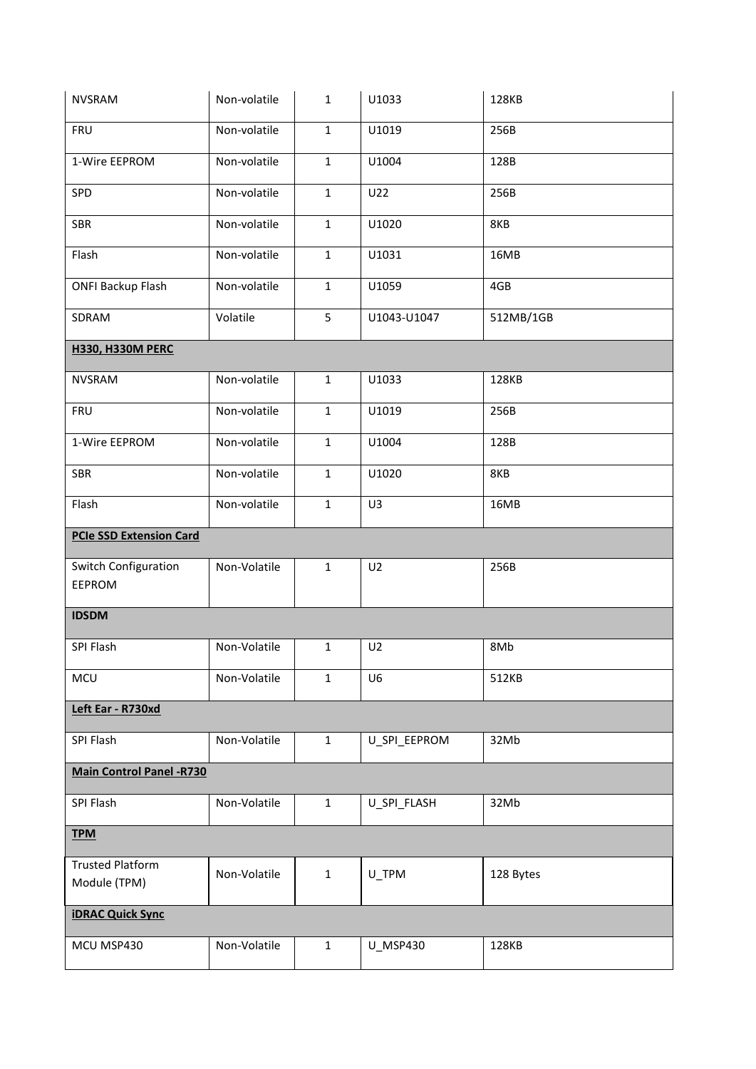| <b>NVSRAM</b>                         | Non-volatile | $\mathbf{1}$ | U1033          | 128KB     |  |
|---------------------------------------|--------------|--------------|----------------|-----------|--|
| <b>FRU</b>                            | Non-volatile | $\mathbf{1}$ | U1019          | 256B      |  |
| 1-Wire EEPROM                         | Non-volatile | $\mathbf{1}$ | U1004          | 128B      |  |
| SPD                                   | Non-volatile | $\mathbf 1$  | U22            | 256B      |  |
| SBR                                   | Non-volatile | $\mathbf{1}$ | U1020          | 8KB       |  |
| Flash                                 | Non-volatile | $\mathbf{1}$ | U1031          | 16MB      |  |
| <b>ONFI Backup Flash</b>              | Non-volatile | $\mathbf{1}$ | U1059          | 4GB       |  |
| SDRAM                                 | Volatile     | 5            | U1043-U1047    | 512MB/1GB |  |
| <b>H330, H330M PERC</b>               |              |              |                |           |  |
| <b>NVSRAM</b>                         | Non-volatile | $\mathbf 1$  | U1033          | 128KB     |  |
| <b>FRU</b>                            | Non-volatile | $\mathbf{1}$ | U1019          | 256B      |  |
| 1-Wire EEPROM                         | Non-volatile | $\mathbf 1$  | U1004          | 128B      |  |
| SBR                                   | Non-volatile | $\mathbf{1}$ | U1020          | 8KB       |  |
| Flash                                 | Non-volatile | $\mathbf{1}$ | U3             | 16MB      |  |
| <b>PCIe SSD Extension Card</b>        |              |              |                |           |  |
| Switch Configuration<br>EEPROM        | Non-Volatile | $\mathbf{1}$ | U <sub>2</sub> | 256B      |  |
| <b>IDSDM</b>                          |              |              |                |           |  |
|                                       |              |              |                |           |  |
| SPI Flash                             |              |              |                |           |  |
|                                       | Non-Volatile | $\mathbf 1$  | U <sub>2</sub> | 8Mb       |  |
| <b>MCU</b>                            | Non-Volatile | $\mathbf{1}$ | U <sub>6</sub> | 512KB     |  |
| Left Ear - R730xd                     |              |              |                |           |  |
| SPI Flash                             | Non-Volatile | $\mathbf 1$  | U_SPI_EEPROM   | 32Mb      |  |
| <b>Main Control Panel -R730</b>       |              |              |                |           |  |
| SPI Flash                             | Non-Volatile | $\mathbf 1$  | U_SPI_FLASH    | 32Mb      |  |
| <b>TPM</b>                            |              |              |                |           |  |
| <b>Trusted Platform</b>               | Non-Volatile | $\mathbf 1$  | U_TPM          | 128 Bytes |  |
| Module (TPM)                          |              |              |                |           |  |
| <b>iDRAC Quick Sync</b><br>MCU MSP430 | Non-Volatile | $\mathbf 1$  | U_MSP430       | 128KB     |  |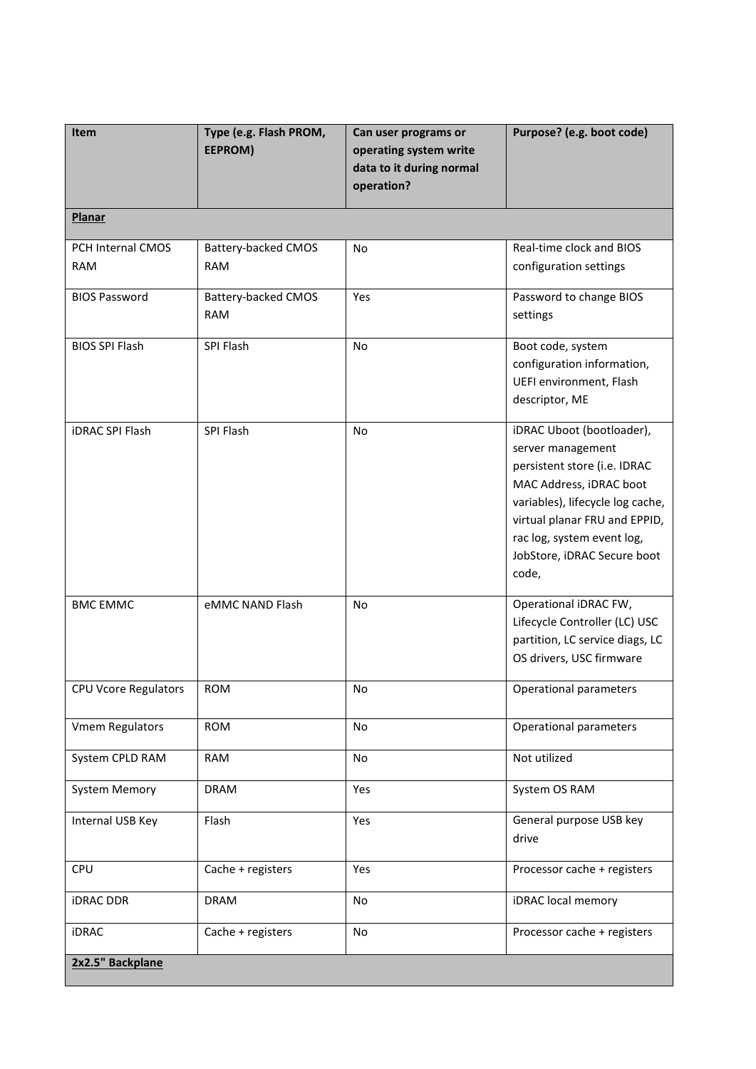| Item                            | Type (e.g. Flash PROM,<br>EEPROM) | Can user programs or<br>operating system write<br>data to it during normal<br>operation? | Purpose? (e.g. boot code)                                                                                                                                                                                                                            |
|---------------------------------|-----------------------------------|------------------------------------------------------------------------------------------|------------------------------------------------------------------------------------------------------------------------------------------------------------------------------------------------------------------------------------------------------|
| <b>Planar</b>                   |                                   |                                                                                          |                                                                                                                                                                                                                                                      |
| PCH Internal CMOS<br><b>RAM</b> | Battery-backed CMOS<br><b>RAM</b> | No                                                                                       | Real-time clock and BIOS<br>configuration settings                                                                                                                                                                                                   |
| <b>BIOS Password</b>            | Battery-backed CMOS<br><b>RAM</b> | Yes                                                                                      | Password to change BIOS<br>settings                                                                                                                                                                                                                  |
| <b>BIOS SPI Flash</b>           | SPI Flash                         | No                                                                                       | Boot code, system<br>configuration information,<br>UEFI environment, Flash<br>descriptor, ME                                                                                                                                                         |
| <b>iDRAC SPI Flash</b>          | SPI Flash                         | <b>No</b>                                                                                | iDRAC Uboot (bootloader),<br>server management<br>persistent store (i.e. IDRAC<br>MAC Address, iDRAC boot<br>variables), lifecycle log cache,<br>virtual planar FRU and EPPID,<br>rac log, system event log,<br>JobStore, iDRAC Secure boot<br>code, |
| <b>BMC EMMC</b>                 | eMMC NAND Flash                   | <b>No</b>                                                                                | Operational iDRAC FW,<br>Lifecycle Controller (LC) USC<br>partition, LC service diags, LC<br>OS drivers, USC firmware                                                                                                                                |
| CPU Vcore Regulators            | <b>ROM</b>                        | No                                                                                       | Operational parameters                                                                                                                                                                                                                               |
| <b>Vmem Regulators</b>          | <b>ROM</b>                        | No                                                                                       | Operational parameters                                                                                                                                                                                                                               |
| System CPLD RAM                 | <b>RAM</b>                        | No                                                                                       | Not utilized                                                                                                                                                                                                                                         |
| <b>System Memory</b>            | <b>DRAM</b>                       | Yes                                                                                      | System OS RAM                                                                                                                                                                                                                                        |
| Internal USB Key                | Flash                             | Yes                                                                                      | General purpose USB key<br>drive                                                                                                                                                                                                                     |
| CPU                             | Cache + registers                 | Yes                                                                                      | Processor cache + registers                                                                                                                                                                                                                          |
| <b>iDRAC DDR</b>                | <b>DRAM</b>                       | No                                                                                       | iDRAC local memory                                                                                                                                                                                                                                   |
| <b>iDRAC</b>                    | Cache + registers                 | No                                                                                       | Processor cache + registers                                                                                                                                                                                                                          |
| 2x2.5" Backplane                |                                   |                                                                                          |                                                                                                                                                                                                                                                      |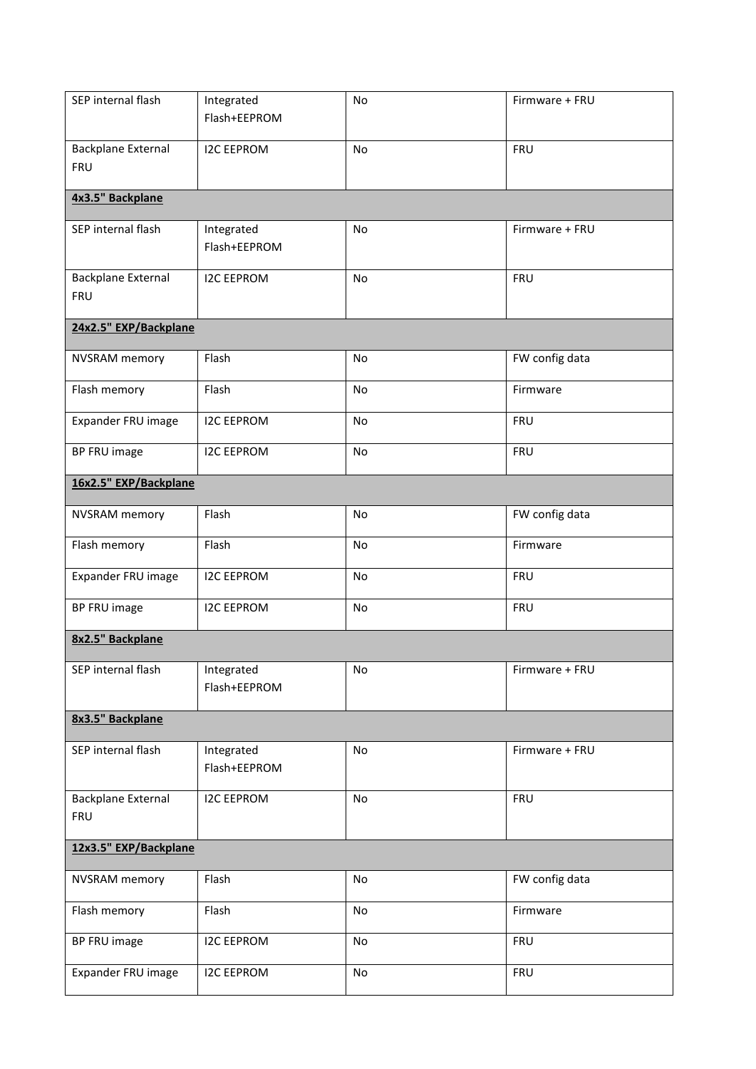| SEP internal flash                      | Integrated<br>Flash+EEPROM | No        | Firmware + FRU |
|-----------------------------------------|----------------------------|-----------|----------------|
| <b>Backplane External</b><br><b>FRU</b> | <b>I2C EEPROM</b>          | <b>No</b> | <b>FRU</b>     |
| 4x3.5" Backplane                        |                            |           |                |
| SEP internal flash                      | Integrated<br>Flash+EEPROM | <b>No</b> | Firmware + FRU |
| <b>Backplane External</b><br><b>FRU</b> | <b>I2C EEPROM</b>          | <b>No</b> | <b>FRU</b>     |
| 24x2.5" EXP/Backplane                   |                            |           |                |
| <b>NVSRAM</b> memory                    | Flash                      | No        | FW config data |
| Flash memory                            | Flash                      | No        | Firmware       |
| Expander FRU image                      | <b>I2C EEPROM</b>          | No        | <b>FRU</b>     |
| BP FRU image                            | <b>I2C EEPROM</b>          | No        | <b>FRU</b>     |
| 16x2.5" EXP/Backplane                   |                            |           |                |
| <b>NVSRAM</b> memory                    | Flash                      | <b>No</b> | FW config data |
| Flash memory                            | Flash                      | No        | Firmware       |
| Expander FRU image                      | <b>I2C EEPROM</b>          | No        | <b>FRU</b>     |
| BP FRU image                            | <b>I2C EEPROM</b>          | No        | <b>FRU</b>     |
| 8x2.5" Backplane                        |                            |           |                |
| SEP internal flash                      | Integrated<br>Flash+EEPROM | No        | Firmware + FRU |
| 8x3.5" Backplane                        |                            |           |                |
| SEP internal flash                      | Integrated<br>Flash+EEPROM | No        | Firmware + FRU |
| <b>Backplane External</b><br><b>FRU</b> | <b>I2C EEPROM</b>          | No        | <b>FRU</b>     |
| 12x3.5" EXP/Backplane                   |                            |           |                |
| <b>NVSRAM</b> memory                    | Flash                      | No        | FW config data |
| Flash memory                            | Flash                      | No        | Firmware       |
| BP FRU image                            | <b>I2C EEPROM</b>          | No        | <b>FRU</b>     |
| Expander FRU image                      | <b>I2C EEPROM</b>          | No        | <b>FRU</b>     |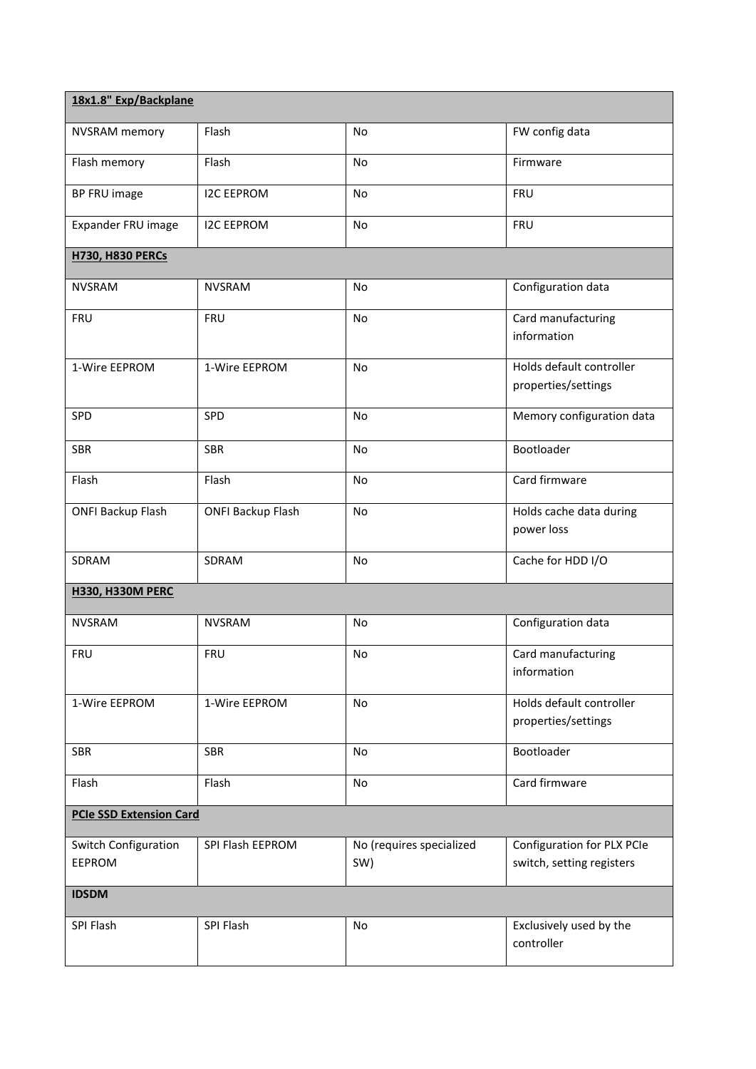| 18x1.8" Exp/Backplane                 |                          |                                 |                                                         |
|---------------------------------------|--------------------------|---------------------------------|---------------------------------------------------------|
| <b>NVSRAM</b> memory                  | Flash                    | No                              | FW config data                                          |
| Flash memory                          | Flash                    | No                              | Firmware                                                |
| BP FRU image                          | <b>I2C EEPROM</b>        | <b>No</b>                       | <b>FRU</b>                                              |
| Expander FRU image                    | <b>I2C EEPROM</b>        | No                              | <b>FRU</b>                                              |
| <b>H730, H830 PERCs</b>               |                          |                                 |                                                         |
| <b>NVSRAM</b>                         | <b>NVSRAM</b>            | <b>No</b>                       | Configuration data                                      |
| <b>FRU</b>                            | <b>FRU</b>               | <b>No</b>                       | Card manufacturing<br>information                       |
| 1-Wire EEPROM                         | 1-Wire EEPROM            | No                              | Holds default controller<br>properties/settings         |
| SPD                                   | SPD                      | No                              | Memory configuration data                               |
| <b>SBR</b>                            | <b>SBR</b>               | No                              | Bootloader                                              |
| Flash                                 | Flash                    | No                              | Card firmware                                           |
| <b>ONFI Backup Flash</b>              | <b>ONFI Backup Flash</b> | No                              | Holds cache data during<br>power loss                   |
| SDRAM                                 | SDRAM                    | No                              | Cache for HDD I/O                                       |
| <b>H330, H330M PERC</b>               |                          |                                 |                                                         |
| <b>NVSRAM</b>                         | <b>NVSRAM</b>            | No                              | Configuration data                                      |
| <b>FRU</b>                            | <b>FRU</b>               | No                              | Card manufacturing<br>information                       |
| 1-Wire EEPROM                         | 1-Wire EEPROM            | No                              | Holds default controller<br>properties/settings         |
| <b>SBR</b>                            | <b>SBR</b>               | <b>No</b>                       | Bootloader                                              |
| Flash                                 | Flash                    | No                              | Card firmware                                           |
| <b>PCIe SSD Extension Card</b>        |                          |                                 |                                                         |
| Switch Configuration<br><b>EEPROM</b> | SPI Flash EEPROM         | No (requires specialized<br>SW) | Configuration for PLX PCIe<br>switch, setting registers |
| <b>IDSDM</b>                          |                          |                                 |                                                         |
| SPI Flash                             | SPI Flash                | <b>No</b>                       | Exclusively used by the<br>controller                   |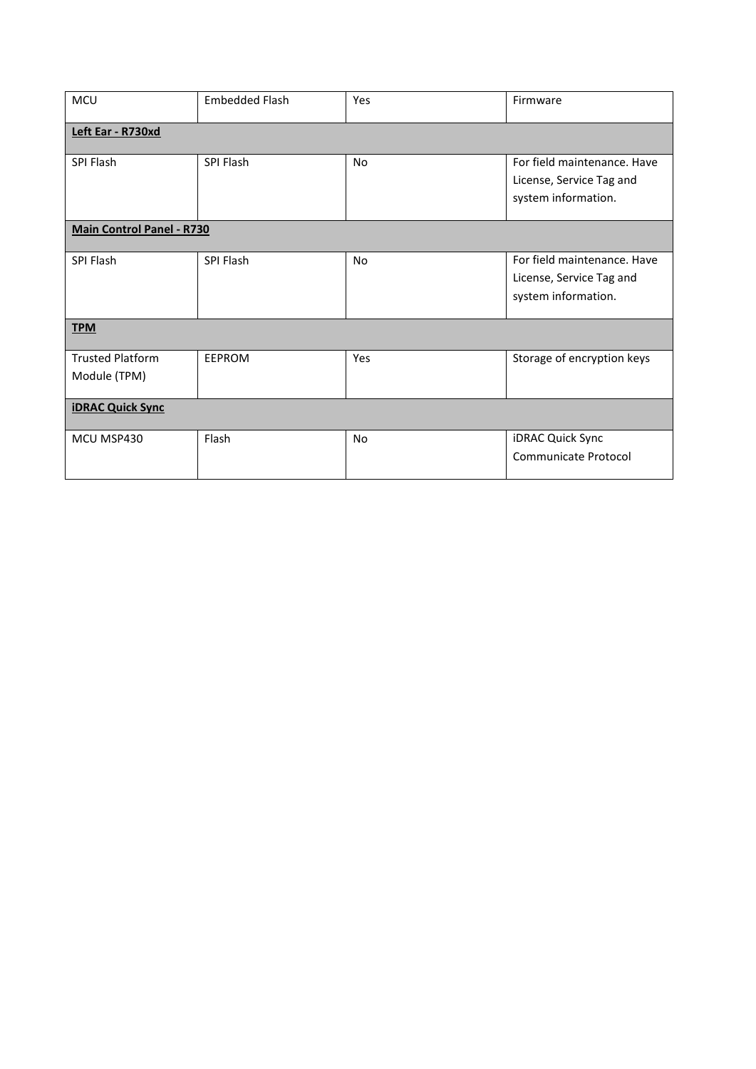| <b>MCU</b>                              | <b>Embedded Flash</b> | Yes            | Firmware                                                                       |  |
|-----------------------------------------|-----------------------|----------------|--------------------------------------------------------------------------------|--|
| Left Ear - R730xd                       |                       |                |                                                                                |  |
| SPI Flash                               | SPI Flash             | N <sub>o</sub> | For field maintenance. Have<br>License, Service Tag and<br>system information. |  |
| <b>Main Control Panel - R730</b>        |                       |                |                                                                                |  |
| SPI Flash                               | SPI Flash             | <b>No</b>      | For field maintenance. Have<br>License, Service Tag and<br>system information. |  |
| <b>TPM</b>                              |                       |                |                                                                                |  |
| <b>Trusted Platform</b><br>Module (TPM) | EEPROM                | Yes            | Storage of encryption keys                                                     |  |
| <b>iDRAC Quick Sync</b>                 |                       |                |                                                                                |  |
| MCU MSP430                              | Flash                 | <b>No</b>      | iDRAC Quick Sync<br>Communicate Protocol                                       |  |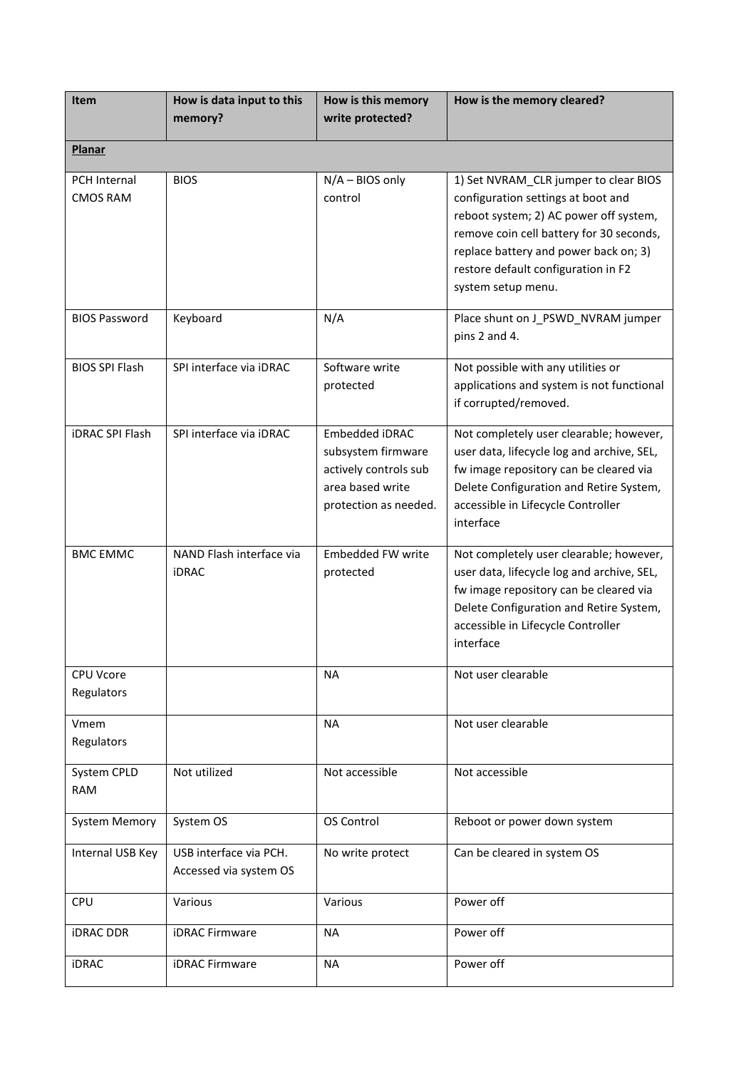| Item                            | How is data input to this<br>memory?             | How is this memory<br>write protected?                                                                            | How is the memory cleared?                                                                                                                                                                                                                                              |
|---------------------------------|--------------------------------------------------|-------------------------------------------------------------------------------------------------------------------|-------------------------------------------------------------------------------------------------------------------------------------------------------------------------------------------------------------------------------------------------------------------------|
| <b>Planar</b>                   |                                                  |                                                                                                                   |                                                                                                                                                                                                                                                                         |
| PCH Internal<br><b>CMOS RAM</b> | <b>BIOS</b>                                      | N/A - BIOS only<br>control                                                                                        | 1) Set NVRAM_CLR jumper to clear BIOS<br>configuration settings at boot and<br>reboot system; 2) AC power off system,<br>remove coin cell battery for 30 seconds,<br>replace battery and power back on; 3)<br>restore default configuration in F2<br>system setup menu. |
| <b>BIOS Password</b>            | Keyboard                                         | N/A                                                                                                               | Place shunt on J_PSWD_NVRAM jumper<br>pins 2 and 4.                                                                                                                                                                                                                     |
| <b>BIOS SPI Flash</b>           | SPI interface via iDRAC                          | Software write<br>protected                                                                                       | Not possible with any utilities or<br>applications and system is not functional<br>if corrupted/removed.                                                                                                                                                                |
| <b>iDRAC SPI Flash</b>          | SPI interface via iDRAC                          | <b>Embedded iDRAC</b><br>subsystem firmware<br>actively controls sub<br>area based write<br>protection as needed. | Not completely user clearable; however,<br>user data, lifecycle log and archive, SEL,<br>fw image repository can be cleared via<br>Delete Configuration and Retire System,<br>accessible in Lifecycle Controller<br>interface                                           |
| <b>BMC EMMC</b>                 | NAND Flash interface via<br><b>iDRAC</b>         | <b>Embedded FW write</b><br>protected                                                                             | Not completely user clearable; however,<br>user data, lifecycle log and archive, SEL,<br>fw image repository can be cleared via<br>Delete Configuration and Retire System,<br>accessible in Lifecycle Controller<br>interface                                           |
| <b>CPU Vcore</b><br>Regulators  |                                                  | NA                                                                                                                | Not user clearable                                                                                                                                                                                                                                                      |
| Vmem<br>Regulators              |                                                  | <b>NA</b>                                                                                                         | Not user clearable                                                                                                                                                                                                                                                      |
| System CPLD<br><b>RAM</b>       | Not utilized                                     | Not accessible                                                                                                    | Not accessible                                                                                                                                                                                                                                                          |
| <b>System Memory</b>            | System OS                                        | OS Control                                                                                                        | Reboot or power down system                                                                                                                                                                                                                                             |
| Internal USB Key                | USB interface via PCH.<br>Accessed via system OS | No write protect                                                                                                  | Can be cleared in system OS                                                                                                                                                                                                                                             |
| CPU                             | Various                                          | Various                                                                                                           | Power off                                                                                                                                                                                                                                                               |
| <b>iDRAC DDR</b>                | <b>iDRAC Firmware</b>                            | <b>NA</b>                                                                                                         | Power off                                                                                                                                                                                                                                                               |
| <b>iDRAC</b>                    | <b>iDRAC Firmware</b>                            | <b>NA</b>                                                                                                         | Power off                                                                                                                                                                                                                                                               |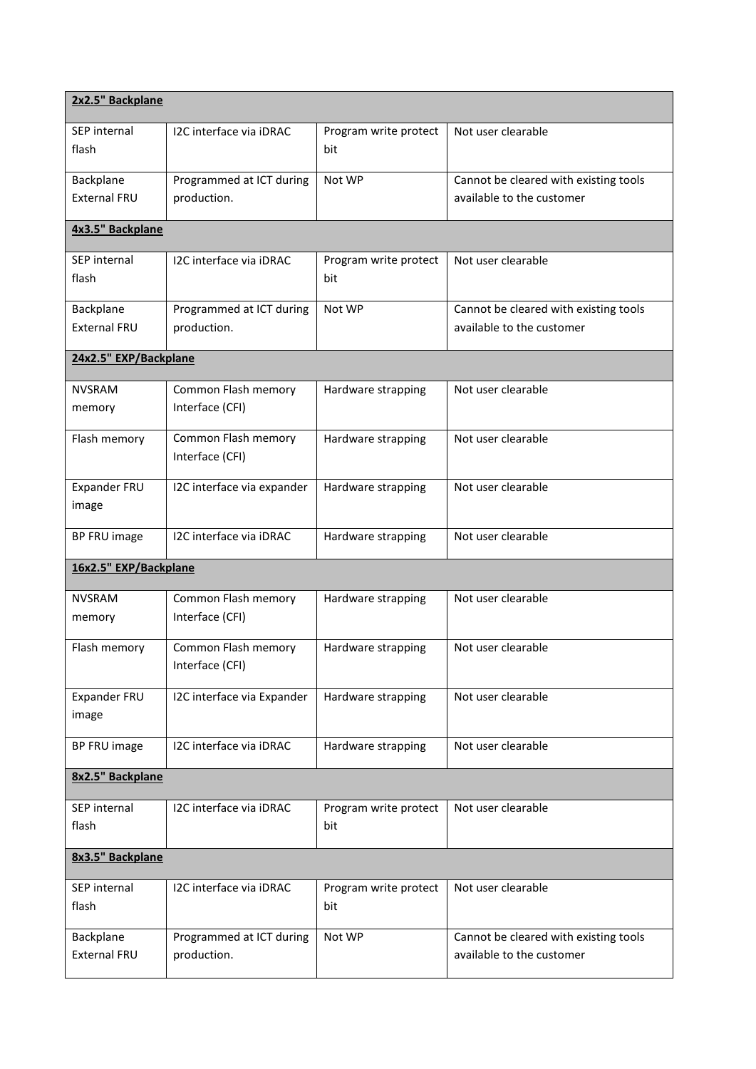| 2x2.5" Backplane                 |                                         |                              |                                                                    |  |
|----------------------------------|-----------------------------------------|------------------------------|--------------------------------------------------------------------|--|
| SEP internal<br>flash            | I2C interface via iDRAC                 | Program write protect<br>bit | Not user clearable                                                 |  |
| Backplane<br><b>External FRU</b> | Programmed at ICT during<br>production. | Not WP                       | Cannot be cleared with existing tools<br>available to the customer |  |
| 4x3.5" Backplane                 |                                         |                              |                                                                    |  |
| SEP internal<br>flash            | I2C interface via iDRAC                 | Program write protect<br>bit | Not user clearable                                                 |  |
| Backplane<br><b>External FRU</b> | Programmed at ICT during<br>production. | Not WP                       | Cannot be cleared with existing tools<br>available to the customer |  |
| 24x2.5" EXP/Backplane            |                                         |                              |                                                                    |  |
| NVSRAM<br>memory                 | Common Flash memory<br>Interface (CFI)  | Hardware strapping           | Not user clearable                                                 |  |
| Flash memory                     | Common Flash memory<br>Interface (CFI)  | Hardware strapping           | Not user clearable                                                 |  |
| Expander FRU<br>image            | I2C interface via expander              | Hardware strapping           | Not user clearable                                                 |  |
| BP FRU image                     | I2C interface via iDRAC                 | Hardware strapping           | Not user clearable                                                 |  |
| 16x2.5" EXP/Backplane            |                                         |                              |                                                                    |  |
| <b>NVSRAM</b><br>memory          | Common Flash memory<br>Interface (CFI)  | Hardware strapping           | Not user clearable                                                 |  |
| Flash memory                     | Common Flash memory<br>Interface (CFI)  | Hardware strapping           | Not user clearable                                                 |  |
| Expander FRU<br>image            | I2C interface via Expander              | Hardware strapping           | Not user clearable                                                 |  |
| <b>BP FRU image</b>              | I2C interface via iDRAC                 | Hardware strapping           | Not user clearable                                                 |  |
| 8x2.5" Backplane                 |                                         |                              |                                                                    |  |
| SEP internal<br>flash            | I2C interface via iDRAC                 | Program write protect<br>bit | Not user clearable                                                 |  |
| 8x3.5" Backplane                 |                                         |                              |                                                                    |  |
| SEP internal<br>flash            | I2C interface via iDRAC                 | Program write protect<br>bit | Not user clearable                                                 |  |
| Backplane<br>External FRU        | Programmed at ICT during<br>production. | Not WP                       | Cannot be cleared with existing tools<br>available to the customer |  |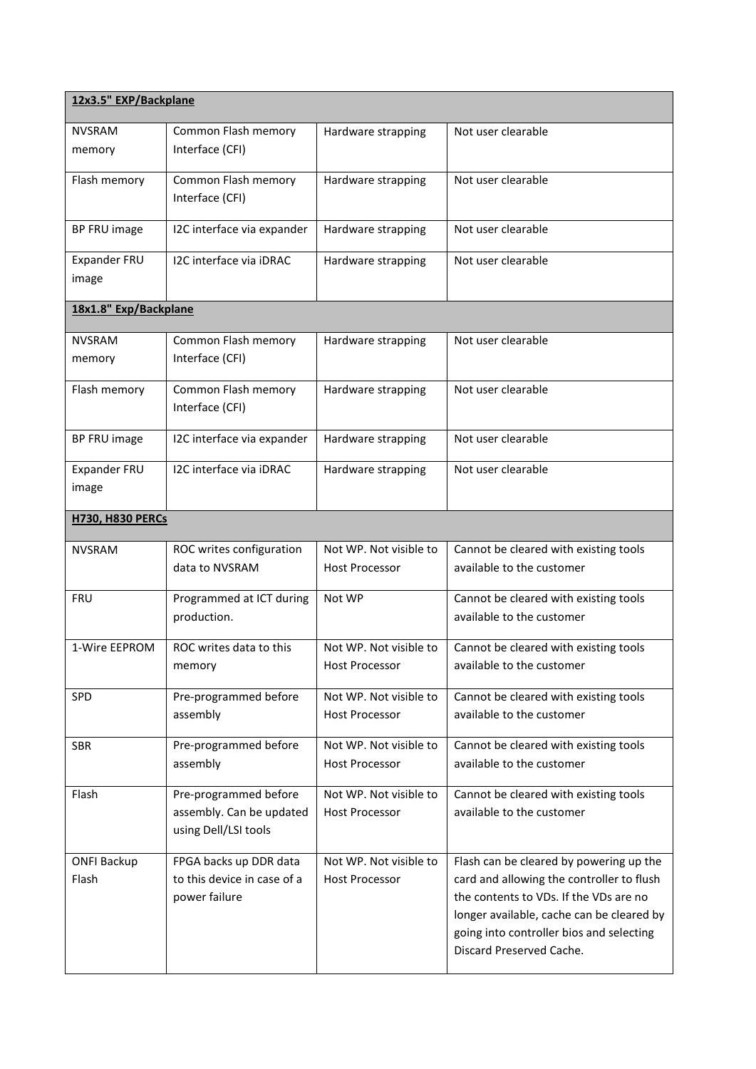| 12x3.5" EXP/Backplane   |                                        |                        |                                                                                       |  |
|-------------------------|----------------------------------------|------------------------|---------------------------------------------------------------------------------------|--|
| <b>NVSRAM</b>           | Common Flash memory                    | Hardware strapping     | Not user clearable                                                                    |  |
| memory                  | Interface (CFI)                        |                        |                                                                                       |  |
| Flash memory            | Common Flash memory                    | Hardware strapping     | Not user clearable                                                                    |  |
|                         | Interface (CFI)                        |                        |                                                                                       |  |
| <b>BP FRU image</b>     | I2C interface via expander             | Hardware strapping     | Not user clearable                                                                    |  |
| Expander FRU            | I2C interface via iDRAC                | Hardware strapping     | Not user clearable                                                                    |  |
| image                   |                                        |                        |                                                                                       |  |
| 18x1.8" Exp/Backplane   |                                        |                        |                                                                                       |  |
| <b>NVSRAM</b>           | Common Flash memory                    | Hardware strapping     | Not user clearable                                                                    |  |
| memory                  | Interface (CFI)                        |                        |                                                                                       |  |
| Flash memory            | Common Flash memory<br>Interface (CFI) | Hardware strapping     | Not user clearable                                                                    |  |
|                         |                                        |                        |                                                                                       |  |
| BP FRU image            | I2C interface via expander             | Hardware strapping     | Not user clearable                                                                    |  |
| Expander FRU            | I2C interface via iDRAC                | Hardware strapping     | Not user clearable                                                                    |  |
| image                   |                                        |                        |                                                                                       |  |
| <b>H730, H830 PERCs</b> |                                        |                        |                                                                                       |  |
| <b>NVSRAM</b>           | ROC writes configuration               | Not WP. Not visible to | Cannot be cleared with existing tools                                                 |  |
|                         | data to NVSRAM                         | <b>Host Processor</b>  | available to the customer                                                             |  |
| <b>FRU</b>              | Programmed at ICT during               | Not WP                 | Cannot be cleared with existing tools                                                 |  |
|                         | production.                            |                        | available to the customer                                                             |  |
| 1-Wire EEPROM           | ROC writes data to this                | Not WP. Not visible to | Cannot be cleared with existing tools                                                 |  |
|                         | memory                                 | <b>Host Processor</b>  | available to the customer                                                             |  |
| <b>SPD</b>              | Pre-programmed before                  | Not WP. Not visible to | Cannot be cleared with existing tools                                                 |  |
|                         | assembly                               | <b>Host Processor</b>  | available to the customer                                                             |  |
| <b>SBR</b>              | Pre-programmed before                  | Not WP. Not visible to | Cannot be cleared with existing tools                                                 |  |
|                         | assembly                               | <b>Host Processor</b>  | available to the customer                                                             |  |
| Flash                   | Pre-programmed before                  | Not WP. Not visible to | Cannot be cleared with existing tools                                                 |  |
|                         | assembly. Can be updated               | <b>Host Processor</b>  | available to the customer                                                             |  |
|                         | using Dell/LSI tools                   |                        |                                                                                       |  |
| <b>ONFI Backup</b>      | FPGA backs up DDR data                 | Not WP. Not visible to | Flash can be cleared by powering up the                                               |  |
| Flash                   | to this device in case of a            | <b>Host Processor</b>  | card and allowing the controller to flush                                             |  |
|                         | power failure                          |                        | the contents to VDs. If the VDs are no                                                |  |
|                         |                                        |                        | longer available, cache can be cleared by<br>going into controller bios and selecting |  |
|                         |                                        |                        | Discard Preserved Cache.                                                              |  |
|                         |                                        |                        |                                                                                       |  |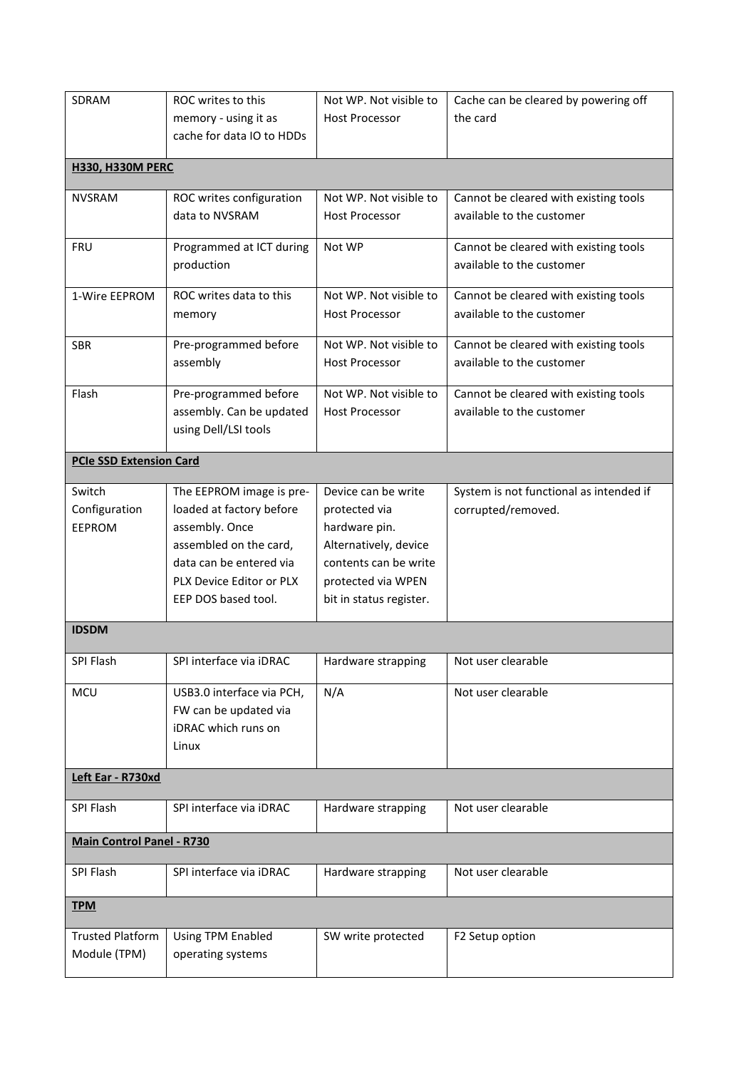| SDRAM                            | ROC writes to this                                                        | Not WP. Not visible to                          | Cache can be cleared by powering off                               |
|----------------------------------|---------------------------------------------------------------------------|-------------------------------------------------|--------------------------------------------------------------------|
|                                  | memory - using it as                                                      | <b>Host Processor</b>                           | the card                                                           |
|                                  | cache for data IO to HDDs                                                 |                                                 |                                                                    |
| <b>H330, H330M PERC</b>          |                                                                           |                                                 |                                                                    |
| <b>NVSRAM</b>                    | ROC writes configuration                                                  | Not WP. Not visible to                          | Cannot be cleared with existing tools                              |
|                                  | data to NVSRAM                                                            | <b>Host Processor</b>                           | available to the customer                                          |
| <b>FRU</b>                       | Programmed at ICT during<br>production                                    | Not WP                                          | Cannot be cleared with existing tools<br>available to the customer |
| 1-Wire EEPROM                    | ROC writes data to this<br>memory                                         | Not WP. Not visible to<br><b>Host Processor</b> | Cannot be cleared with existing tools<br>available to the customer |
| <b>SBR</b>                       | Pre-programmed before<br>assembly                                         | Not WP. Not visible to<br><b>Host Processor</b> | Cannot be cleared with existing tools<br>available to the customer |
| Flash                            | Pre-programmed before<br>assembly. Can be updated<br>using Dell/LSI tools | Not WP. Not visible to<br><b>Host Processor</b> | Cannot be cleared with existing tools<br>available to the customer |
| <b>PCIe SSD Extension Card</b>   |                                                                           |                                                 |                                                                    |
| Switch                           | The EEPROM image is pre-                                                  | Device can be write                             | System is not functional as intended if                            |
| Configuration                    | loaded at factory before                                                  | protected via                                   | corrupted/removed.                                                 |
| <b>EEPROM</b>                    | assembly. Once                                                            | hardware pin.                                   |                                                                    |
|                                  | assembled on the card,<br>data can be entered via                         | Alternatively, device<br>contents can be write  |                                                                    |
|                                  | PLX Device Editor or PLX                                                  | protected via WPEN                              |                                                                    |
|                                  | EEP DOS based tool.                                                       | bit in status register.                         |                                                                    |
| <b>IDSDM</b>                     |                                                                           |                                                 |                                                                    |
| SPI Flash                        | SPI interface via iDRAC                                                   | Hardware strapping                              | Not user clearable                                                 |
| <b>MCU</b>                       | USB3.0 interface via PCH,                                                 | N/A                                             | Not user clearable                                                 |
|                                  | FW can be updated via                                                     |                                                 |                                                                    |
|                                  | iDRAC which runs on                                                       |                                                 |                                                                    |
|                                  | Linux                                                                     |                                                 |                                                                    |
| Left Ear - R730xd                |                                                                           |                                                 |                                                                    |
| SPI Flash                        | SPI interface via iDRAC                                                   | Hardware strapping                              | Not user clearable                                                 |
| <b>Main Control Panel - R730</b> |                                                                           |                                                 |                                                                    |
| SPI Flash                        | SPI interface via iDRAC                                                   | Hardware strapping                              | Not user clearable                                                 |
| <b>TPM</b>                       |                                                                           |                                                 |                                                                    |
| <b>Trusted Platform</b>          | Using TPM Enabled                                                         | SW write protected                              | F2 Setup option                                                    |
| Module (TPM)                     | operating systems                                                         |                                                 |                                                                    |